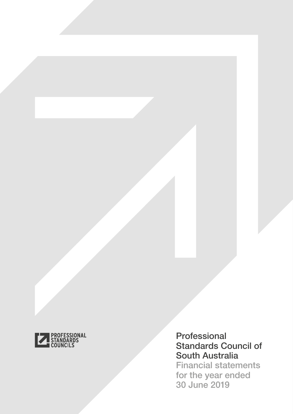

# Professional Standards Council of South Australia Financial statements

for the year ended 30 June 2019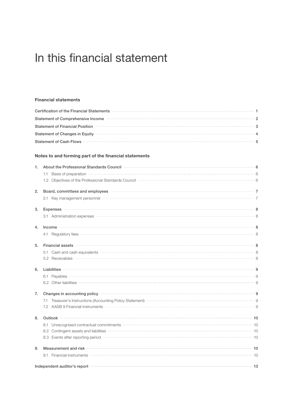# In this financial statement

# [Financial statements](#page-2-0)

| Certification of the Financial Statements <b>Contract Contract Contract Contract Contract Contract Contract Contract Contract Contract Contract Contract Contract Contract Contract Contract Contract Contract Contract Contract</b> |  |
|--------------------------------------------------------------------------------------------------------------------------------------------------------------------------------------------------------------------------------------|--|
| Statement of Comprehensive Income <b>Exercise Comprehensive Income</b> 2                                                                                                                                                             |  |
| Statement of Financial Position <b>Manual According to the Contract Of Statement</b> of Financial Position 3                                                                                                                         |  |
| Statement of Changes in Equity <b>Changes</b> in Equity <b>All and Statement of Changes</b> in Equity 4                                                                                                                              |  |
| Statement of Cash Flows 35 Statement of Cash Flows 35 Statement of Cash Flows 35 Statement of Cash Flows 35 Statement of Cash Flows 35 Statement of Cash Flows 35 Statement 35 Statement 36 Statement 36 Statement 36 Statemen       |  |

### [Notes to and forming part of the financial statements](#page-7-0)

| 1. | About the Professional Standards Council <b>Community Council</b> 6                                                                                                                                                                                      |  |
|----|----------------------------------------------------------------------------------------------------------------------------------------------------------------------------------------------------------------------------------------------------------|--|
|    | 1.1 Basis of preparation <b>contract the contract of the contract of the contract of the contract of the contract of the contract of the contract of the contract of the contract of the contract of the contract of the contrac</b>                     |  |
|    | 1.2 Objectives of the Professional Standards Council <b>Commission Commission Commission</b> 6                                                                                                                                                           |  |
| 2. | Board, committees and employees <b>Constanting Construction</b> and a strategy and a strategy and a strategy and a strategy and a strategy and a strategy and a strategy and a strategy and a strategy and a strategy and a strateg                      |  |
|    | 2.1 Key management personnel was also allowed a contract a contract a contract a contract a contract a contract a contract a contract a contract a contract a contract a contract a contract a contract a contract a contract                            |  |
| 3. | Expenses <b>2008</b> - 2008 - 2009 - 2019 - 2019 - 2019 - 2020 - 2020 - 2020 - 2030 - 2030 - 2030 - 2040 - 2040 - 2040 - 2040 - 2040 - 2040 - 2040 - 2040 - 2040 - 2040 - 2040 - 2040 - 2040 - 2040 - 2040 - 2040 - 2040 - 2040 - 2                      |  |
|    |                                                                                                                                                                                                                                                          |  |
| 4. |                                                                                                                                                                                                                                                          |  |
|    | 4.1 Regulatory fees 38 April 2014 12:30 April 2014 12:30 April 2014 12:30 April 2014 12:30 April 2014 12:30 April 2014 12:30 April 2014 12:30 April 2014 12:30 April 2014 12:30 April 2014 12:30 April 2014 12:30 April 2014 1                           |  |
| 5. |                                                                                                                                                                                                                                                          |  |
|    | 5.1 Cash and cash equivalents <b>continues and cash and cash and cash and cash and cash and cash and cash and cash and a</b>                                                                                                                             |  |
|    |                                                                                                                                                                                                                                                          |  |
| 6. |                                                                                                                                                                                                                                                          |  |
|    |                                                                                                                                                                                                                                                          |  |
|    |                                                                                                                                                                                                                                                          |  |
| 7. | Changes in accounting policy <b>contains the contract of the contract of the contract of the contract of the contract of the contract of the contract of the contract of the contract of the contract of the contract of the con</b>                     |  |
|    | 7.1 Treasurer's Instructions (Accounting Policy Statement) <b>Constructions</b> and the set of the Statement of Treasurer's Instructions (Accounting Policy Statement)                                                                                   |  |
|    | 7.2 AASB 9 Financial Instruments <b>Construction Construction</b> and a series of the series of the series of the series of the series of the series of the series of the series of the series of the series of the series of the s                      |  |
| 8. |                                                                                                                                                                                                                                                          |  |
|    |                                                                                                                                                                                                                                                          |  |
|    | 8.2 Contingent assets and liabilities <b>Fig. 2.2</b> Contingent assets and liabilities <b>Fig. 2.2</b> Contingent assets and liabilities <b>Fig. 2.2</b> Contingent assets and liabilities <b>Fig. 2.2</b> Contingent assets and liabilities <b>Fig</b> |  |
|    | 8.3 Events after reporting period - <b>Manufacture of the Contract Contract Contract Contract Contract Contract Contract Contract Contract Contract Contract Contract Contract Contract Contract Contract Contract Contract Cont</b>                     |  |
| 9. | Measurement and risk 10                                                                                                                                                                                                                                  |  |
|    | Financial instruments <b>with the contract of the contract of the contract of the contract of the contract of the contract of the contract of the contract of the contract of the contract of the contract of the contract of th</b><br>9.1              |  |
|    | Independent auditor's report <b>Constitution of the Constitution</b> of the Constitution of the Constitution of the Constitution of the Constitution of the Constitution of the Constitution of the Constitution of the Constitutio                      |  |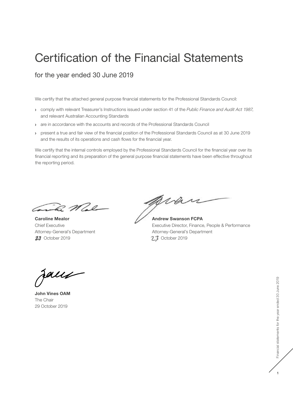# <span id="page-2-0"></span>Certification of the Financial Statements

for the year ended 30 June 2019

We certify that the attached general purpose financial statements for the Professional Standards Council:

- **›** comply with relevant Treasurer's Instructions issued under section 41 of the *Public Finance and Audit Act 1987*, and relevant Australian Accounting Standards
- **›** are in accordance with the accounts and records of the Professional Standards Council
- **›** present a true and fair view of the financial position of the Professional Standards Council as at 30 June 2019 and the results of its operations and cash flows for the financial year.

We certify that the internal controls employed by the Professional Standards Council for the financial year over its financial reporting and its preparation of the general purpose financial statements have been effective throughout the reporting period.

Cariba Mal

Caroline Mealor Chief Executive Attorney‑General's Department **23** October 2019

pran

Andrew Swanson FCPA Executive Director, Finance, People & Performance Attorney‑General's Department **23** October 2019

faux

John Vines OAM The Chair 29 October 2019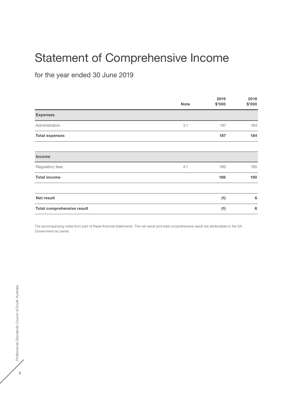# <span id="page-3-0"></span>Statement of Comprehensive Income

for the year ended 30 June 2019

|                                   | <b>Note</b> | 2019<br>\$'000 | 2018<br>\$'000 |
|-----------------------------------|-------------|----------------|----------------|
| <b>Expenses</b>                   |             |                |                |
| Administration                    | 3.1         | 187            | 184            |
| <b>Total expenses</b>             |             | 187            | 184            |
| <b>Income</b>                     |             |                |                |
| Regulatory fees                   | 4.1         | 186            | 190            |
| <b>Total income</b>               |             | 186            | 190            |
| Net result                        |             | (1)            | 6              |
| <b>Total comprehensive result</b> |             | (1)            | 6              |

The accompanying notes form part of these financial statements. The net result and total comprehensive result are attributable to the SA Government as owner.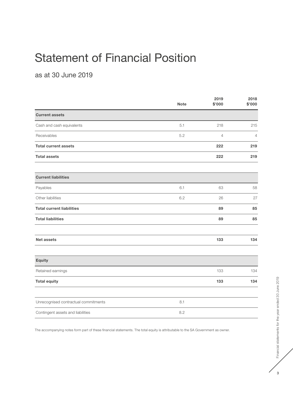# <span id="page-4-0"></span>Statement of Financial Position

as at 30 June 2019

|                                      | <b>Note</b> | 2019<br>\$'000 | 2018<br>\$'000 |
|--------------------------------------|-------------|----------------|----------------|
| <b>Current assets</b>                |             |                |                |
| Cash and cash equivalents            | 5.1         | 218            | 215            |
| Receivables                          | 5.2         | $\overline{4}$ | $\overline{4}$ |
| <b>Total current assets</b>          |             | 222            | 219            |
| <b>Total assets</b>                  |             | 222            | 219            |
| <b>Current liabilities</b>           |             |                |                |
| Payables                             | 6.1         | 63             | 58             |
| Other liabilities                    | 6.2         | 26             | 27             |
| <b>Total current liabilities</b>     |             | 89             | 85             |
| <b>Total liabilities</b>             |             | 89             | 85             |
| <b>Net assets</b>                    |             | 133            | 134            |
| <b>Equity</b>                        |             |                |                |
| Retained earnings                    |             | 133            | 134            |
| <b>Total equity</b>                  |             | 133            | 134            |
| Unrecognised contractual commitments | 8.1         |                |                |
| Contingent assets and liabilities    | 8.2         |                |                |

The accompanying notes form part of these financial statements. The total equity is attributable to the SA Government as owner.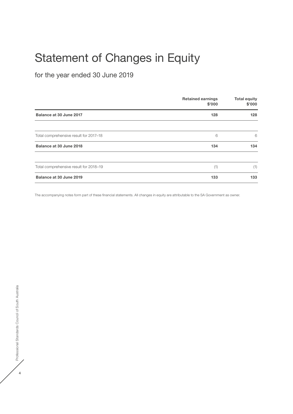# <span id="page-5-0"></span>Statement of Changes in Equity

for the year ended 30 June 2019

|                                        | <b>Retained earnings</b><br>\$'000 | <b>Total equity</b><br>\$'000 |
|----------------------------------------|------------------------------------|-------------------------------|
| Balance at 30 June 2017                | 128                                | 128                           |
| Total comprehensive result for 2017-18 | 6                                  | 6                             |
| Balance at 30 June 2018                | 134                                | 134                           |
| Total comprehensive result for 2018-19 | (1)                                | (1)                           |
| Balance at 30 June 2019                | 133                                | 133                           |

The accompanying notes form part of these financial statements. All changes in equity are attributable to the SA Government as owner.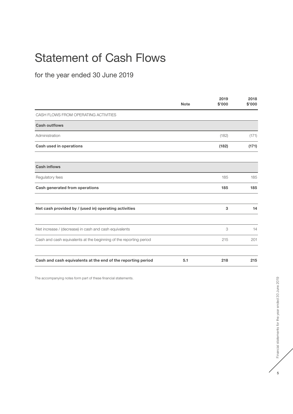# <span id="page-6-0"></span>Statement of Cash Flows

for the year ended 30 June 2019

|                                                                    | <b>Note</b> | 2019<br>\$'000 | 2018<br>\$'000 |
|--------------------------------------------------------------------|-------------|----------------|----------------|
| CASH FLOWS FROM OPERATING ACTIVITIES                               |             |                |                |
| <b>Cash outflows</b>                                               |             |                |                |
| Administration                                                     |             | (182)          | (171)          |
| <b>Cash used in operations</b>                                     |             | (182)          | (171)          |
| <b>Cash inflows</b>                                                |             |                |                |
| Regulatory fees                                                    |             | 185            | 185            |
| Cash generated from operations                                     |             | 185            | 185            |
| Net cash provided by / (used in) operating activities              |             | 3              | 14             |
| Net increase / (decrease) in cash and cash equivalents             |             | 3              | 14             |
| Cash and cash equivalents at the beginning of the reporting period |             | 215            | 201            |
| Cash and cash equivalents at the end of the reporting period       | 5.1         | 218            | 215            |

The accompanying notes form part of these financial statements.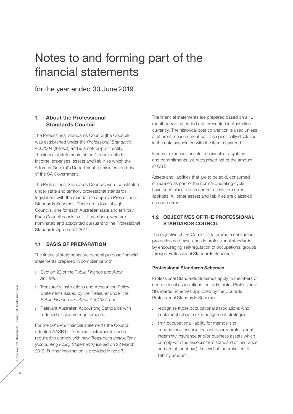# <span id="page-7-0"></span>Notes to and forming part of the financial statements

for the year ended 30 June 2019

# 1. About the Professional Standards Council

The Professional Standards Council (the Council) was established under the *Professional Standards*  Act 2004 (the Act) and is a not-for-profit entity. The financial statements of the Council include income, expenses, assets and liabilities which the Attorney‑General's Department administers on behalf of the SA Government.

The Professional Standards Councils were constituted under state and territory professional standards legislation, with the mandate to approve Professional Standards Schemes. There are a total of eight Councils, one for each Australian state and territory. Each Council consists of 11 members, who are nominated and appointed pursuant to the Professional Standards Agreement 2011.

# 1.1 BASIS OF PREPARATION

The financial statements are general purpose financial statements prepared in compliance with:

- **›** Section 23 of the *Public Finance and Audit Act 1987*;
- **›** Treasurer's Instructions and Accounting Policy Statements issued by the Treasurer under the *Public Finance and Audit Act 1987*; and
- **›** Relevant Australian Accounting Standards with reduced disclosure requirements.

For the 2018–19 financial statements the Council adopted AASB 9 – Financial Instruments and is required to comply with new *Treasurer's Instructions (Accounting Policy Statements)* issued on 22 March 2019. Further information is provided in note 7.

The financial statements are prepared based on a 12 month reporting period and presented in Australian currency. The historical cost convention is used unless a different measurement basis is specifically disclosed in the note associated with the item measured.

Income, expenses assets, receivables, payables and commitments are recognised net of the amount of GST.

Assets and liabilities that are to be sold, consumed or realised as part of the normal operating cycle have been classified as current assets or current liabilities. All other assets and liabilities are classified as non‑current.

# 1.2 OBJECTIVES OF THE PROFESSIONAL STANDARDS COUNCIL

The objective of the Council is to promote consumer protection and excellence in professional standards by encouraging self-regulation of occupational groups through Professional Standards Schemes.

#### Professional Standards Schemes

Professional Standards Schemes apply to members of occupational associations that administer Professional Standards Schemes approved by the Councils. Professional Standards Schemes:

- **›** recognise those occupational associations who implement robust risk management strategies
- **›** limit occupational liability for members of occupational associations who carry professional indemnity insurance and/or business assets which comply with the association's standard of insurance and are at (or above) the level of the limitation of liability amount.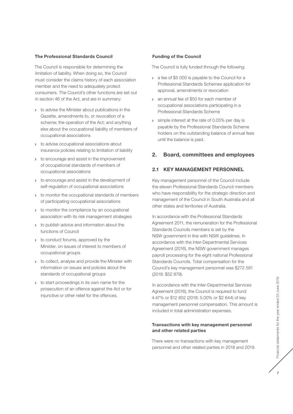#### <span id="page-8-0"></span>The Professional Standards Council

The Council is responsible for determining the limitation of liability. When doing so, the Council must consider the claims history of each association member and the need to adequately protect consumers. The Council's other functions are set out in section 46 of the Act, and are in summary:

- **›** to advise the Minister about publications in the Gazette, amendments to, or revocation of a scheme; the operation of the Act; and anything else about the occupational liability of members of occupational associations
- **›** to advise occupational associations about insurance policies relating to limitation of liability
- **›** to encourage and assist in the improvement of occupational standards of members of occupational associations
- **›** to encourage and assist in the development of self-regulation of occupational associations
- **›** to monitor the occupational standards of members of participating occupational associations
- **›** to monitor the compliance by an occupational association with its risk management strategies
- **›** to publish advice and information about the functions of Council
- **›** to conduct forums, approved by the Minister, on issues of interest to members of occupational groups
- **›** to collect, analyse and provide the Minister with information on issues and policies about the standards of occupational groups
- **›** to start proceedings in its own name for the prosecution of an offence against the Act or for injunctive or other relief for the offences.

#### Funding of the Council

The Council is fully funded through the following:

- **›** a fee of \$5 000 is payable to the Council for a Professional Standards Schemes application for approval, amendments or revocation
- **›** an annual fee of \$50 for each member of occupational associations participating in a Professional Standards Scheme
- **›** simple interest at the rate of 0.05% per day is payable by the Professional Standards Scheme holders on the outstanding balance of annual fees until the balance is paid.

# 2. Board, committees and employees

# 2.1 KEY MANAGEMENT PERSONNEL

Key management personnel of the Council include the eleven Professional Standards Council members who have responsibility for the strategic direction and management of the Council in South Australia and all other states and territories of Australia.

In accordance with the Professional Standards Agreement 2011, the remuneration for the Professional Standards Councils members is set by the NSW government in line with NSW guidelines. In accordance with the Inter‑Departmental Services Agreement (2016), the NSW government manages payroll processing for the eight national Professional Standards Councils. Total compensation for the Council's key management personnel was \$272 591 (2018: \$52 879).

In accordance with the Inter‑Departmental Services Agreement (2016), the Council is required to fund 4.47% or \$12 852 (2018: 5.00% or \$2 644) of key management personnel compensation. This amount is included in total administration expenses.

#### Transactions with key management personnel and other related parties

There were no transactions with key management personnel and other related parties in 2018 and 2019.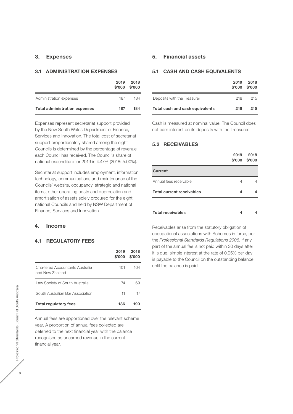# <span id="page-9-0"></span>3. Expenses

#### 3.1 ADMINISTRATION EXPENSES

|                                      | 2019<br>\$'000 | 2018<br>\$'000 |
|--------------------------------------|----------------|----------------|
| Administration expenses              | 187            | 184            |
| <b>Total administration expenses</b> | 187            | 184            |

Expenses represent secretariat support provided by the New South Wales Department of Finance, Services and Innovation. The total cost of secretariat support proportionately shared among the eight Councils is determined by the percentage of revenue each Council has received. The Council's share of national expenditure for 2019 is 4.47% (2018: 5.00%).

Secretariat support includes employment, information technology, communications and maintenance of the Councils' website, occupancy, strategic and national items, other operating costs and depreciation and amortisation of assets solely procured for the eight national Councils and held by NSW Department of Finance, Services and Innovation.

#### 4. Income

### 4.1 REGULATORY FEES

|                                                    | 2019<br>\$'000 | 2018<br>\$'000 |
|----------------------------------------------------|----------------|----------------|
| Chartered Accountants Australia<br>and New Zealand | 101            | 104            |
| Law Society of South Australia                     | 74             | 69             |
| South Australian Bar Association                   | 11             |                |
| <b>Total regulatory fees</b>                       | 186            | 190            |

Annual fees are apportioned over the relevant scheme year. A proportion of annual fees collected are deferred to the next financial year with the balance recognised as unearned revenue in the current financial year.

### 5. Financial assets

#### 5.1 CASH AND CASH EQUIVALENTS

|                                 | 2019<br>\$'000 | 2018<br>\$'000 |
|---------------------------------|----------------|----------------|
| Deposits with the Treasurer     | 218            | 215            |
| Total cash and cash equivalents | 218            | 215            |

Cash is measured at nominal value. The Council does not earn interest on its deposits with the Treasurer.

#### 5.2 RECEIVABLES

|                                  | 2019 | 2018<br>$$'000$ $$'000$ |
|----------------------------------|------|-------------------------|
| <b>Current</b>                   |      |                         |
| Annual fees receivable           | 4    |                         |
| <b>Total current receivables</b> | 4    |                         |
| <b>Total receivables</b>         | 4    |                         |

Receivables arise from the statutory obligation of occupational associations with Schemes in force, per the *Professional Standards Regulations 2006*. If any part of the annual fee is not paid within 30 days after it is due, simple interest at the rate of 0.05% per day is payable to the Council on the outstanding balance until the balance is paid.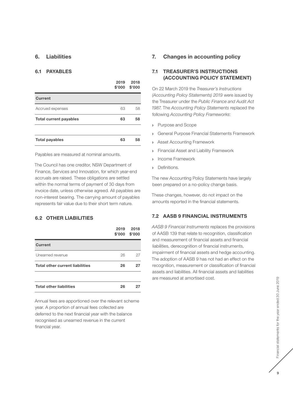# <span id="page-10-0"></span>6. Liabilities

#### 6.1 PAYABLES

|                               | 2019<br>\$'000 | 2018<br>\$'000 |
|-------------------------------|----------------|----------------|
| <b>Current</b>                |                |                |
| Accrued expenses              | 63             | 58             |
| <b>Total current payables</b> | 63             | 58             |
|                               |                |                |
| <b>Total payables</b>         | 63             | 58             |

Payables are measured at nominal amounts.

The Council has one creditor, NSW Department of Finance, Services and Innovation, for which year-end accruals are raised. These obligations are settled within the normal terms of payment of 30 days from invoice date, unless otherwise agreed. All payables are non‑interest bearing. The carrying amount of payables represents fair value due to their short term nature.

### 6.2 OTHER LIABILITIES

|                                        | 2019 | 2018<br>$$'000$ $$'000$ |
|----------------------------------------|------|-------------------------|
| <b>Current</b>                         |      |                         |
| Unearned revenue                       | 26   | 27                      |
| <b>Total other current liabilities</b> | 26   | 27                      |
|                                        |      |                         |
| <b>Total other liabilities</b>         | 26   | 27                      |

Annual fees are apportioned over the relevant scheme year. A proportion of annual fees collected are deferred to the next financial year with the balance recognised as unearned revenue in the current financial year.

# 7. Changes in accounting policy

### 7.1 TREASURER'S INSTRUCTIONS (ACCOUNTING POLICY STATEMENT)

On 22 March 2019 the *Treasurer's Instructions (Accounting Policy Statements) 2019* were issued by the Treasurer under the *Public Finance and Audit Act 1987*. The *Accounting Policy Statements* replaced the following *Accounting Policy Frameworks*:

- **›** Purpose and Scope
- **›** General Purpose Financial Statements Framework
- **›** Asset Accounting Framework
- **›** Financial Asset and Liability Framework
- **›** Income Framework
- **›** Definitions.

The new Accounting Policy Statements have largely been prepared on a no‑policy change basis.

These changes, however, do not impact on the amounts reported in the financial statements.

# 7.2 AASB 9 FINANCIAL INSTRUMENTS

*AASB 9 Financial Instruments* replaces the provisions of AASB 139 that relate to recognition, classification and measurement of financial assets and financial liabilities, derecognition of financial instruments, impairment of financial assets and hedge accounting. The adoption of AASB 9 has not had an effect on the recognition, measurement or classification of financial assets and liabilities. All financial assets and liabilities are measured at amortised cost.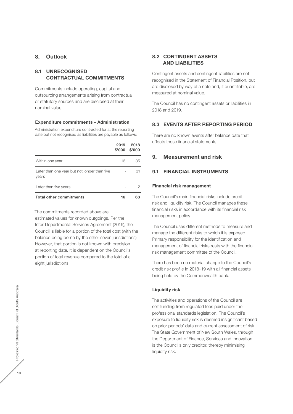# <span id="page-11-0"></span>8. Outlook

# 8.1 UNRECOGNISED CONTRACTUAL COMMITMENTS

Commitments include operating, capital and outsourcing arrangements arising from contractual or statutory sources and are disclosed at their nominal value.

#### Expenditure commitments – Administration

Administration expenditure contracted for at the reporting date but not recognised as liabilities are payable as follows:

|                                                       | 2019<br>\$'000 | 2018<br>\$'000 |
|-------------------------------------------------------|----------------|----------------|
| Within one year                                       | 16             | 35             |
| Later than one year but not longer than five<br>years |                | 31             |
| Later than five years                                 |                | 2              |
| <b>Total other commitments</b>                        | 16             | 68             |

The commitments recorded above are

estimated values for known outgoings. Per the Inter‑Departmental Services Agreement (2016), the Council is liable for a portion of the total cost (with the balance being borne by the other seven jurisdictions). However, that portion is not known with precision at reporting date. It is dependent on the Council's portion of total revenue compared to the total of all eight jurisdictions.

# 8.2 CONTINGENT ASSETS AND LIABILITIES

Contingent assets and contingent liabilities are not recognised in the Statement of Financial Position, but are disclosed by way of a note and, if quantifiable, are measured at nominal value.

The Council has no contingent assets or liabilities in 2018 and 2019.

### 8.3 EVENTS AFTER REPORTING PERIOD

There are no known events after balance date that affects these financial statements.

### 9. Measurement and risk

#### 9.1 FINANCIAL INSTRUMENTS

#### Financial risk management

The Council's main financial risks include credit risk and liquidity risk. The Council manages these financial risks in accordance with its financial risk management policy.

The Council uses different methods to measure and manage the different risks to which it is exposed. Primary responsibility for the identification and management of financial risks rests with the financial risk management committee of the Council.

There has been no material change to the Council's credit risk profile in 2018–19 with all financial assets being held by the Commonwealth bank.

#### Liquidity risk

The activities and operations of the Council are self-funding from regulated fees paid under the professional standards legislation. The Council's exposure to liquidity risk is deemed insignificant based on prior periods' data and current assessment of risk. The State Government of New South Wales, through the Department of Finance, Services and Innovation is the Council's only creditor, thereby minimising liquidity risk.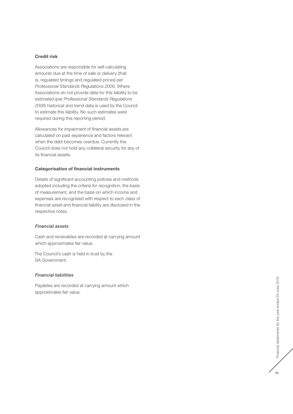#### Credit risk

Associations are responsible for self-calculating amounts due at the time of sale or delivery (that is, regulated timings and regulated prices) per *Professional Standards Regulations 2006*. Where Associations do not provide data for this liability to be estimated (per *Professional Standards Regulations 2006*) historical and trend data is used by the Council to estimate this liability. No such estimates were required during this reporting period.

Allowances for impairment of financial assets are calculated on past experience and factors relevant when the debt becomes overdue. Currently the Council does not hold any collateral security for any of its financial assets.

#### Categorisation of financial instruments

Details of significant accounting policies and methods adopted including the criteria for recognition, the basis of measurement, and the basis on which income and expenses are recognised with respect to each class of financial asset and financial liability are disclosed in the respective notes.

#### *Financial assets*

Cash and receivables are recorded at carrying amount which approximates fair value.

The Council's cash is held in trust by the SA Government.

#### *Financial liabilities*

Payables are recorded at carrying amount which approximates fair value.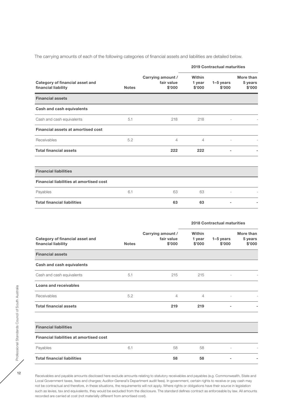The carrying amounts of each of the following categories of financial assets and liabilities are detailed below.

| Category of financial asset and<br>financial liability |              |                                           | <b>2019 Contractual maturities</b> |                       |                                |
|--------------------------------------------------------|--------------|-------------------------------------------|------------------------------------|-----------------------|--------------------------------|
|                                                        | <b>Notes</b> | Carrying amount /<br>fair value<br>\$'000 | Within<br>1 year<br>\$'000         | $1-5$ years<br>\$'000 | More than<br>5 years<br>\$'000 |
| <b>Financial assets</b>                                |              |                                           |                                    |                       |                                |
| Cash and cash equivalents                              |              |                                           |                                    |                       |                                |
| Cash and cash equivalents                              | 5.1          | 218                                       | 218                                |                       |                                |
| Financial assets at amortised cost                     |              |                                           |                                    |                       |                                |
| Receivables                                            | 5.2          | $\overline{4}$                            | 4                                  |                       |                                |
| <b>Total financial assets</b>                          |              | 222                                       | 222                                | -                     |                                |
| <b>Financial liabilities</b>                           |              |                                           |                                    |                       |                                |
| <b>Financial liabilities at amortised cost</b>         |              |                                           |                                    |                       |                                |
| Payables                                               | 6.1          | 63                                        | 63                                 |                       |                                |
| <b>Total financial liabilities</b>                     |              | 63                                        | 63                                 |                       |                                |

|                                                        |              |                                           | <b>2018 Contractual maturities</b> |                       |                                |
|--------------------------------------------------------|--------------|-------------------------------------------|------------------------------------|-----------------------|--------------------------------|
| Category of financial asset and<br>financial liability | <b>Notes</b> | Carrying amount /<br>fair value<br>\$'000 | Within<br>1 year<br>\$'000         | $1-5$ years<br>\$'000 | More than<br>5 years<br>\$'000 |
| <b>Financial assets</b>                                |              |                                           |                                    |                       |                                |
| Cash and cash equivalents                              |              |                                           |                                    |                       |                                |
| Cash and cash equivalents                              | 5.1          | 215                                       | 215                                |                       |                                |
| Loans and receivables                                  |              |                                           |                                    |                       |                                |
| Receivables                                            | 5.2          | $\overline{4}$                            | 4                                  |                       |                                |
| <b>Total financial assets</b>                          |              | 219                                       | 219                                | -                     |                                |
| <b>Financial liabilities</b>                           |              |                                           |                                    |                       |                                |
| <b>Financial liabilities at amortised cost</b>         |              |                                           |                                    |                       |                                |
| Payables                                               | 6.1          | 58                                        | 58                                 |                       |                                |
| <b>Total financial liabilities</b>                     |              | 58                                        | 58                                 |                       |                                |

Receivables and payable amounts disclosed here exclude amounts relating to statutory receivables and payables (e.g. Commonwealth, State and Local Government taxes, fees and charges; Auditor‑General's Department audit fees). In government, certain rights to receive or pay cash may not be contractual and therefore, in these situations, the requirements will not apply. Where rights or obligations have their source in legislation such as levies, tax and equivalents, they would be excluded from the disclosure. The standard defines contract as enforceable by law. All amounts recorded are carried at cost (not materially different from amortised cost).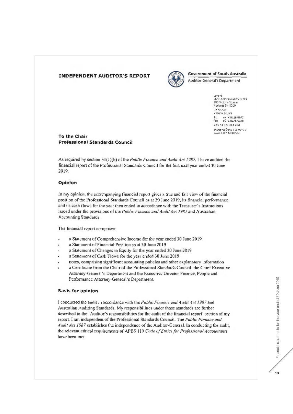# <span id="page-14-0"></span>**INDEPENDENT AUDITOR'S REPORT**



# **Government of South Australia**

**Auditor-General's Department** 

Level 9 stere<br>Slate Administration Centre<br>200 McLoral Square<br>Adelaide 54-5000 DX 56208 Victoria Square le. +618 9225 9640<br>Fax +618 8226 9698 ABV 50-327-061-410 audgensa@audit sa govide.<br>www.abdit sa goviab

#### To the Chair **Professional Standards Council**

As required by section 31(1)(b) of the Public Finance and Audit Act 1987, I have audited the financial report of the Professional Standards Council for the financial year ended 30 June 2019.

### Opinion

In my opinion, the accompanying financial report gives a true and fair view of the financial position of the Professional Standards Council as at 30 June 2019, its financial performance and its cash flows for the year then ended in accordance with the Treasurer's Instructions issued under the provisions of the Public Finance and Audit Act 1987 and Australian Accounting Standards.

The financial report comprises:

- a Statement of Comprehensive Income for the year ended 30 June 2019
- a Statement of Financial Position as at 30 June 2019
- a Statement of Changes in Equity for the year ended 30 June 2019.
- a Statement of Cash Flows for the year ended 30 June 2019.
- notes, comprising significant accounting policies and other explanatory information
- a Certificate from the Chair of the Professional Standards Council, the Chief Executive Attorney-General's Department and the Executive Director Finance, People and Performance Attorney-General's Department.

#### **Basis for opinion**

I conducted the audit in accordance with the Public Finance and Audit Act 1987 and Australian Auditing Standards. My responsibilities under those standards are further described in the 'Auditor's responsibilities for the audit of the financial report' section of my report. I am independent of the Professional Standards Council. The Public Finance and Audit Act 1987 establishes the independence of the Auditor-General. In conducting the audit, the relevant ethical requirements of APES 110 Code of Ethics for Professional Accountants have been met.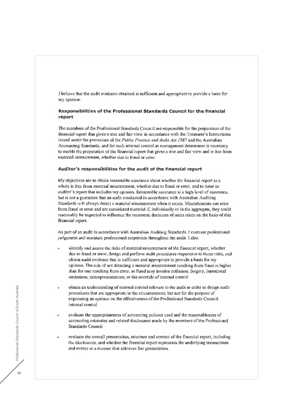I believe that the audit evidence obtained is sufficient and appropriate to provide a basis for my opinion.

### Responsibilities of the Professional Standards Council for the financial report

The members of the Professional Standards Council are responsible for the preparation of the financial report that gives a true and fair view in accordance with the Treasurer's Instructions issued under the provisions of the Public Finance and Audit Act 1987 and the Australian Accounting Standards, and for such internal control as management determines is necessary to enable the preparation of the financial report that gives a true and fair view and is free from material misstatement, whether due to fraud or error.

#### Auditor's responsibilities for the audit of the financial report

My objectives are to obtain reasonable assurance about whether the financial report as a whole is free from material misstatement, whether due to fraud or error, and to issue an auditor's report that includes my opinion. Reasonable assurance is a high level of assurance, but is not a guarantee that an audit conducted in accordance with Australian Auditing Standards will always detect a material misstatement when it exists. Misstatements can arise from fraud or error and arc considered material if, individually or in the aggregate, they could reasonably be expected to influence the economic decisions of users taken on the basis of this financial report.

As part of an audit in accordance with Australian Auditing Standards, I exercise professional judgement and maintain professional seepticism throughout the audit. I also:

- identify and assess the risks of material misstatement of the financial report, whether due to fraud or error, design and perform audit procedures responsive to those risks, and obtain audit evidence that is sufficient and appropriate to provide a basis for my opinion. The risk of not detecting a material misstatement resulting from fraud is higherthan for one resulting from error, as fraud may involve collusion, forgery, intentional omissions, misrepresentations, or the override of internal control
- obtain an understanding of internal control relevant to the audit in order to design audit procedures that are appropriate in the circumstances, but not for the purpose of expressing an opinion on the effectiveness of the Professional Standards Council internal control
- evaluate the appropriateness of accounting policies used and the reasonableness of accounting estimates and related disclosures made by the members of the Professional Standards Council
- evaluate the overall presentation, structure and content of the financial report, including the disclosures, and whether the financial report represents the underlying transactions and events in a manner that achieves fair presentation.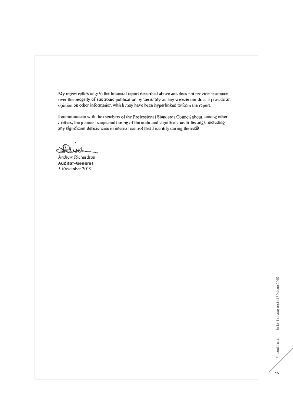My report refers only to the financial report described above and does not provide assurance over the integrity of electronic publication by the entity on any website nor does it provide an opinion on other information which may have been hyperlinked to from the report.

I communicate with the members of the Professional Standards Council about, among other matters, the planned scope and timing of the audit and significant audit findings, including any significant deficiencies in internal control that I identify during the audit.

Andrew Richardson **Auditor-General** 5 November 2019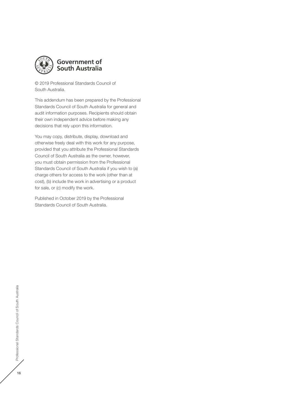

# **Government of South Australia**

© 2019 Professional Standards Council of South Australia.

This addendum has been prepared by the Professional Standards Council of South Australia for general and audit information purposes. Recipients should obtain their own independent advice before making any decisions that rely upon this information.

You may copy, distribute, display, download and otherwise freely deal with this work for any purpose, provided that you attribute the Professional Standards Council of South Australia as the owner, however, you must obtain permission from the Professional Standards Council of South Australia if you wish to (a) charge others for access to the work (other than at cost), (b) include the work in advertising or a product for sale, or (c) modify the work.

Published in October 2019 by the Professional Standards Council of South Australia.